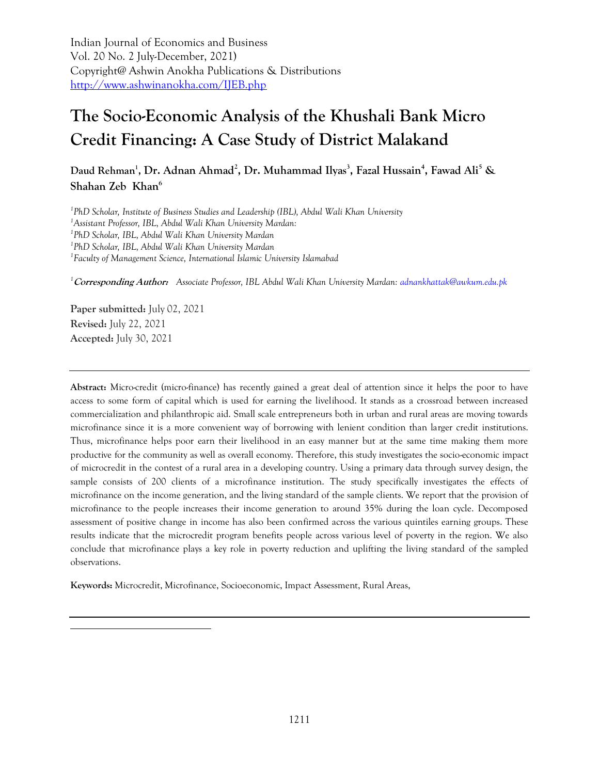Indian Journal of Economics and Business Vol. 20 No. 2 July-December, 2021) Copyright@ Ashwin Anokha Publications & Distributions <http://www.ashwinanokha.com/IJEB.php>

# **The Socio-Economic Analysis of the Khushali Bank Micro Credit Financing: A Case Study of District Malakand**

# **Daud Rehman<sup>1</sup> , Dr. Adnan Ahmad<sup>2</sup> , Dr. Muhammad Ilyas<sup>3</sup> , Fazal Hussain<sup>4</sup> , Fawad Ali<sup>5</sup> & Shahan Zeb Khan<sup>6</sup>**

<sup>1</sup> PhD Scholar, Institute of Business Studies and Leadership (IBL), Abdul Wali Khan University *Assistant Professor, IBL, Abdul Wali Khan University Mardan: PhD Scholar, IBL, Abdul Wali Khan University Mardan PhD Scholar, IBL, Abdul Wali Khan University Mardan Faculty of Management Science, International Islamic University Islamabad*

*<sup>1</sup>***Corresponding Author:** *Associate Professor, IBL Abdul Wali Khan University Mardan: [adnankhattak@awkum.edu.pk](mailto:adnankhattak@awkum.edu.pk)*

**Paper submitted:** July 02, 2021 **Revised:** July 22, 2021 **Accepted:** July 30, 2021

 $\overline{a}$ 

**Abstract:** Micro-credit (micro-finance) has recently gained a great deal of attention since it helps the poor to have access to some form of capital which is used for earning the livelihood. It stands as a crossroad between increased commercialization and philanthropic aid. Small scale entrepreneurs both in urban and rural areas are moving towards microfinance since it is a more convenient way of borrowing with lenient condition than larger credit institutions. Thus, microfinance helps poor earn their livelihood in an easy manner but at the same time making them more productive for the community as well as overall economy. Therefore, this study investigates the socio-economic impact of microcredit in the contest of a rural area in a developing country. Using a primary data through survey design, the sample consists of 200 clients of a microfinance institution. The study specifically investigates the effects of microfinance on the income generation, and the living standard of the sample clients. We report that the provision of microfinance to the people increases their income generation to around 35% during the loan cycle. Decomposed assessment of positive change in income has also been confirmed across the various quintiles earning groups. These results indicate that the microcredit program benefits people across various level of poverty in the region. We also conclude that microfinance plays a key role in poverty reduction and uplifting the living standard of the sampled observations.

**Keywords:** Microcredit, Microfinance, Socioeconomic, Impact Assessment, Rural Areas,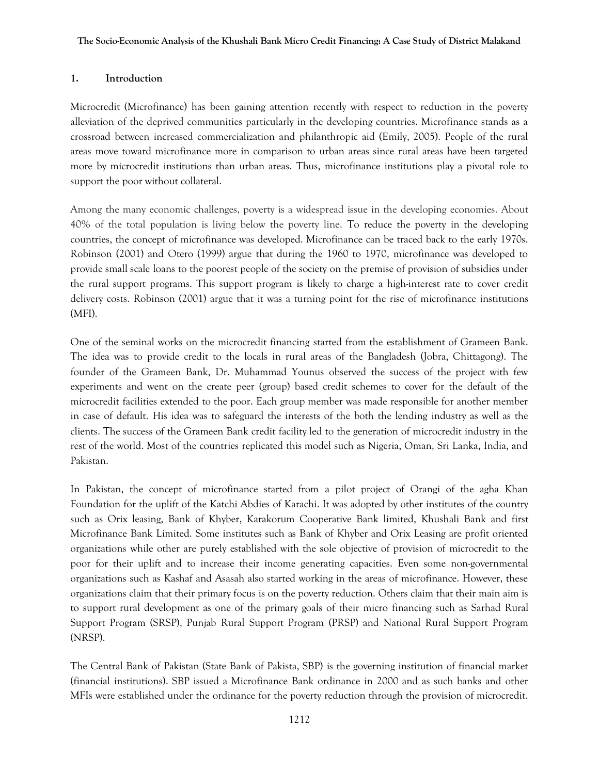# **1. Introduction**

Microcredit (Microfinance) has been gaining attention recently with respect to reduction in the poverty alleviation of the deprived communities particularly in the developing countries. Microfinance stands as a crossroad between increased commercialization and philanthropic aid (Emily, 2005). People of the rural areas move toward microfinance more in comparison to urban areas since rural areas have been targeted more by microcredit institutions than urban areas. Thus, microfinance institutions play a pivotal role to support the poor without collateral.

Among the many economic challenges, poverty is a widespread issue in the developing economies. About 40% of the total population is living below the poverty line. To reduce the poverty in the developing countries, the concept of microfinance was developed. Microfinance can be traced back to the early 1970s. Robinson (2001) and Otero (1999) argue that during the 1960 to 1970, microfinance was developed to provide small scale loans to the poorest people of the society on the premise of provision of subsidies under the rural support programs. This support program is likely to charge a high-interest rate to cover credit delivery costs. Robinson (2001) argue that it was a turning point for the rise of microfinance institutions (MFI).

One of the seminal works on the microcredit financing started from the establishment of Grameen Bank. The idea was to provide credit to the locals in rural areas of the Bangladesh (Jobra, Chittagong). The founder of the Grameen Bank, Dr. Muhammad Younus observed the success of the project with few experiments and went on the create peer (group) based credit schemes to cover for the default of the microcredit facilities extended to the poor. Each group member was made responsible for another member in case of default. His idea was to safeguard the interests of the both the lending industry as well as the clients. The success of the Grameen Bank credit facility led to the generation of microcredit industry in the rest of the world. Most of the countries replicated this model such as Nigeria, Oman, Sri Lanka, India, and Pakistan.

In Pakistan, the concept of microfinance started from a pilot project of Orangi of the agha Khan Foundation for the uplift of the Katchi Abdies of Karachi. It was adopted by other institutes of the country such as Orix leasing, Bank of Khyber, Karakorum Cooperative Bank limited, Khushali Bank and first Microfinance Bank Limited. Some institutes such as Bank of Khyber and Orix Leasing are profit oriented organizations while other are purely established with the sole objective of provision of microcredit to the poor for their uplift and to increase their income generating capacities. Even some non-governmental organizations such as Kashaf and Asasah also started working in the areas of microfinance. However, these organizations claim that their primary focus is on the poverty reduction. Others claim that their main aim is to support rural development as one of the primary goals of their micro financing such as Sarhad Rural Support Program (SRSP), Punjab Rural Support Program (PRSP) and National Rural Support Program (NRSP).

The Central Bank of Pakistan (State Bank of Pakista, SBP) is the governing institution of financial market (financial institutions). SBP issued a Microfinance Bank ordinance in 2000 and as such banks and other MFIs were established under the ordinance for the poverty reduction through the provision of microcredit.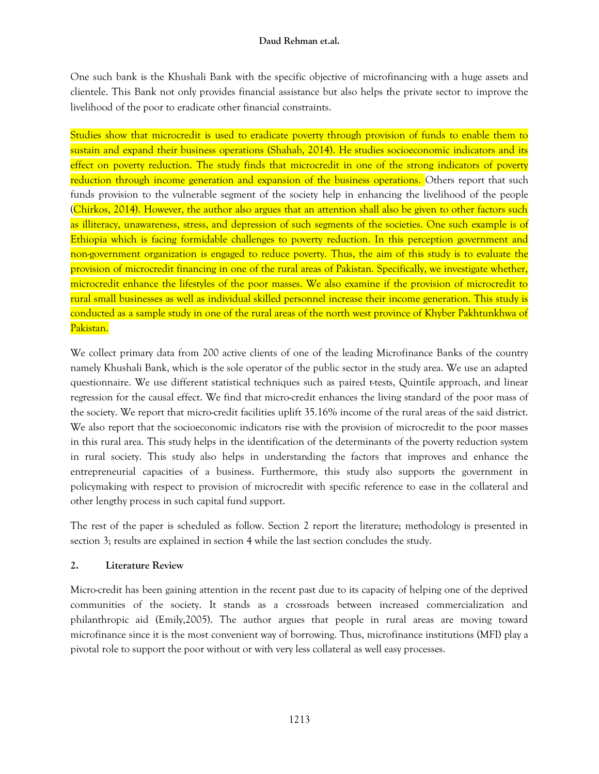One such bank is the Khushali Bank with the specific objective of microfinancing with a huge assets and clientele. This Bank not only provides financial assistance but also helps the private sector to improve the livelihood of the poor to eradicate other financial constraints.

Studies show that microcredit is used to eradicate poverty through provision of funds to enable them to sustain and expand their business operations (Shahab, 2014). He studies socioeconomic indicators and its effect on poverty reduction. The study finds that microcredit in one of the strong indicators of poverty reduction through income generation and expansion of the business operations. Others report that such funds provision to the vulnerable segment of the society help in enhancing the livelihood of the people (Chirkos, 2014). However, the author also argues that an attention shall also be given to other factors such as illiteracy, unawareness, stress, and depression of such segments of the societies. One such example is of Ethiopia which is facing formidable challenges to poverty reduction. In this perception government and non-government organization is engaged to reduce poverty. Thus, the aim of this study is to evaluate the provision of microcredit financing in one of the rural areas of Pakistan. Specifically, we investigate whether, microcredit enhance the lifestyles of the poor masses. We also examine if the provision of microcredit to rural small businesses as well as individual skilled personnel increase their income generation. This study is conducted as a sample study in one of the rural areas of the north west province of Khyber Pakhtunkhwa of Pakistan.

We collect primary data from 200 active clients of one of the leading Microfinance Banks of the country namely Khushali Bank, which is the sole operator of the public sector in the study area. We use an adapted questionnaire. We use different statistical techniques such as paired t-tests, Quintile approach, and linear regression for the causal effect. We find that micro-credit enhances the living standard of the poor mass of the society. We report that micro-credit facilities uplift 35.16% income of the rural areas of the said district. We also report that the socioeconomic indicators rise with the provision of microcredit to the poor masses in this rural area. This study helps in the identification of the determinants of the poverty reduction system in rural society. This study also helps in understanding the factors that improves and enhance the entrepreneurial capacities of a business. Furthermore, this study also supports the government in policymaking with respect to provision of microcredit with specific reference to ease in the collateral and other lengthy process in such capital fund support.

The rest of the paper is scheduled as follow. Section 2 report the literature; methodology is presented in section 3; results are explained in section 4 while the last section concludes the study.

# **2. Literature Review**

Micro-credit has been gaining attention in the recent past due to its capacity of helping one of the deprived communities of the society. It stands as a crossroads between increased commercialization and philanthropic aid (Emily,2005). The author argues that people in rural areas are moving toward microfinance since it is the most convenient way of borrowing. Thus, microfinance institutions (MFI) play a pivotal role to support the poor without or with very less collateral as well easy processes.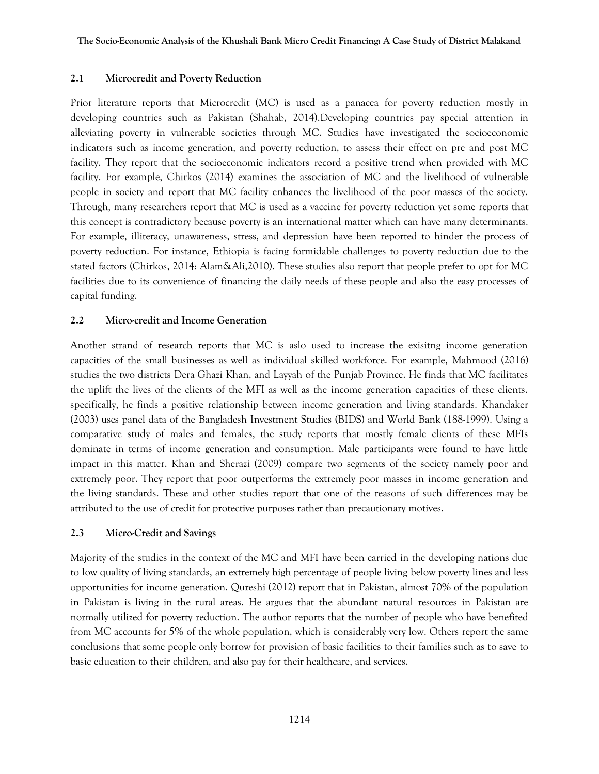## **2.1 Microcredit and Poverty Reduction**

Prior literature reports that Microcredit (MC) is used as a panacea for poverty reduction mostly in developing countries such as Pakistan (Shahab, 2014).Developing countries pay special attention in alleviating poverty in vulnerable societies through MC. Studies have investigated the socioeconomic indicators such as income generation, and poverty reduction, to assess their effect on pre and post MC facility. They report that the socioeconomic indicators record a positive trend when provided with MC facility. For example, Chirkos (2014) examines the association of MC and the livelihood of vulnerable people in society and report that MC facility enhances the livelihood of the poor masses of the society. Through, many researchers report that MC is used as a vaccine for poverty reduction yet some reports that this concept is contradictory because poverty is an international matter which can have many determinants. For example, illiteracy, unawareness, stress, and depression have been reported to hinder the process of poverty reduction. For instance, Ethiopia is facing formidable challenges to poverty reduction due to the stated factors (Chirkos, 2014: Alam&Ali,2010). These studies also report that people prefer to opt for MC facilities due to its convenience of financing the daily needs of these people and also the easy processes of capital funding.

## **2.2 Micro-credit and Income Generation**

Another strand of research reports that MC is aslo used to increase the exisitng income generation capacities of the small businesses as well as individual skilled workforce. For example, Mahmood (2016) studies the two districts Dera Ghazi Khan, and Layyah of the Punjab Province. He finds that MC facilitates the uplift the lives of the clients of the MFI as well as the income generation capacities of these clients. specifically, he finds a positive relationship between income generation and living standards. Khandaker (2003) uses panel data of the Bangladesh Investment Studies (BIDS) and World Bank (188-1999). Using a comparative study of males and females, the study reports that mostly female clients of these MFIs dominate in terms of income generation and consumption. Male participants were found to have little impact in this matter. Khan and Sherazi (2009) compare two segments of the society namely poor and extremely poor. They report that poor outperforms the extremely poor masses in income generation and the living standards. These and other studies report that one of the reasons of such differences may be attributed to the use of credit for protective purposes rather than precautionary motives.

# **2.3 Micro-Credit and Savings**

Majority of the studies in the context of the MC and MFI have been carried in the developing nations due to low quality of living standards, an extremely high percentage of people living below poverty lines and less opportunities for income generation. Qureshi (2012) report that in Pakistan, almost 70% of the population in Pakistan is living in the rural areas. He argues that the abundant natural resources in Pakistan are normally utilized for poverty reduction. The author reports that the number of people who have benefited from MC accounts for 5% of the whole population, which is considerably very low. Others report the same conclusions that some people only borrow for provision of basic facilities to their families such as to save to basic education to their children, and also pay for their healthcare, and services.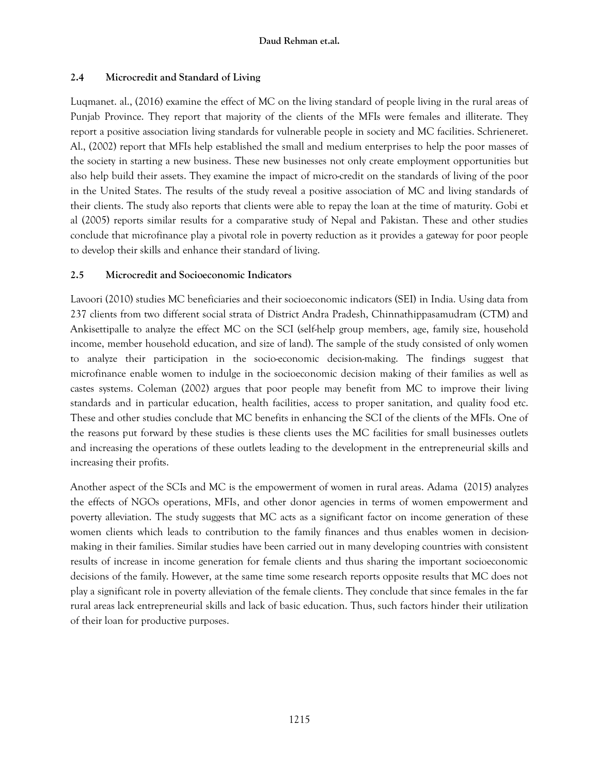# **2.4 Microcredit and Standard of Living**

Luqmanet. al., (2016) examine the effect of MC on the living standard of people living in the rural areas of Punjab Province. They report that majority of the clients of the MFIs were females and illiterate. They report a positive association living standards for vulnerable people in society and MC facilities. Schrieneret. Al., (2002) report that MFIs help established the small and medium enterprises to help the poor masses of the society in starting a new business. These new businesses not only create employment opportunities but also help build their assets. They examine the impact of micro-credit on the standards of living of the poor in the United States. The results of the study reveal a positive association of MC and living standards of their clients. The study also reports that clients were able to repay the loan at the time of maturity. Gobi et al (2005) reports similar results for a comparative study of Nepal and Pakistan. These and other studies conclude that microfinance play a pivotal role in poverty reduction as it provides a gateway for poor people to develop their skills and enhance their standard of living.

## **2.5 Microcredit and Socioeconomic Indicators**

Lavoori (2010) studies MC beneficiaries and their socioeconomic indicators (SEI) in India. Using data from 237 clients from two different social strata of District Andra Pradesh, Chinnathippasamudram (CTM) and Ankisettipalle to analyze the effect MC on the SCI (self-help group members, age, family size, household income, member household education, and size of land). The sample of the study consisted of only women to analyze their participation in the socio-economic decision-making. The findings suggest that microfinance enable women to indulge in the socioeconomic decision making of their families as well as castes systems. Coleman (2002) argues that poor people may benefit from MC to improve their living standards and in particular education, health facilities, access to proper sanitation, and quality food etc. These and other studies conclude that MC benefits in enhancing the SCI of the clients of the MFIs. One of the reasons put forward by these studies is these clients uses the MC facilities for small businesses outlets and increasing the operations of these outlets leading to the development in the entrepreneurial skills and increasing their profits.

Another aspect of the SCIs and MC is the empowerment of women in rural areas. Adama (2015) analyzes the effects of NGOs operations, MFIs, and other donor agencies in terms of women empowerment and poverty alleviation. The study suggests that MC acts as a significant factor on income generation of these women clients which leads to contribution to the family finances and thus enables women in decisionmaking in their families. Similar studies have been carried out in many developing countries with consistent results of increase in income generation for female clients and thus sharing the important socioeconomic decisions of the family. However, at the same time some research reports opposite results that MC does not play a significant role in poverty alleviation of the female clients. They conclude that since females in the far rural areas lack entrepreneurial skills and lack of basic education. Thus, such factors hinder their utilization of their loan for productive purposes.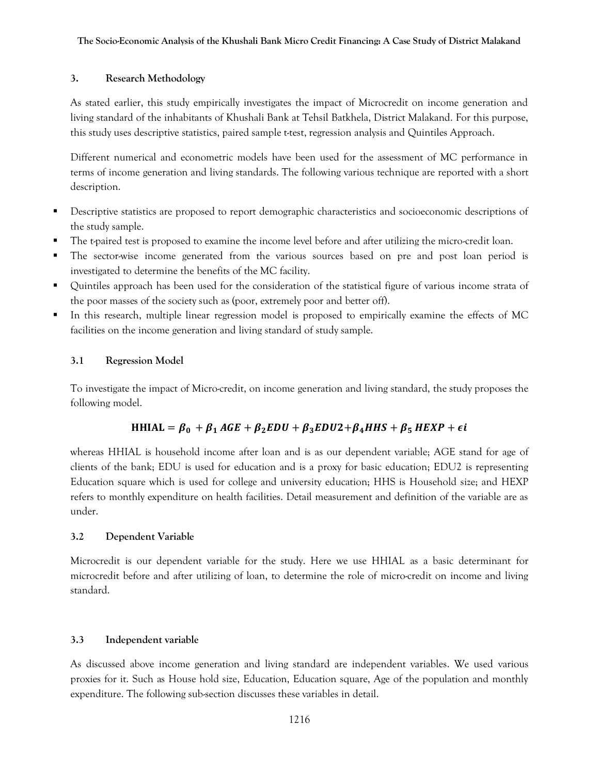# **3. Research Methodology**

As stated earlier, this study empirically investigates the impact of Microcredit on income generation and living standard of the inhabitants of Khushali Bank at Tehsil Batkhela, District Malakand. For this purpose, this study uses descriptive statistics, paired sample t-test, regression analysis and Quintiles Approach.

Different numerical and econometric models have been used for the assessment of MC performance in terms of income generation and living standards. The following various technique are reported with a short description.

- **•** Descriptive statistics are proposed to report demographic characteristics and socioeconomic descriptions of the study sample.
- The t-paired test is proposed to examine the income level before and after utilizing the micro-credit loan.
- The sector-wise income generated from the various sources based on pre and post loan period is investigated to determine the benefits of the MC facility.
- Quintiles approach has been used for the consideration of the statistical figure of various income strata of the poor masses of the society such as (poor, extremely poor and better off).
- In this research, multiple linear regression model is proposed to empirically examine the effects of MC facilities on the income generation and living standard of study sample.

# **3.1 Regression Model**

To investigate the impact of Micro-credit, on income generation and living standard, the study proposes the following model.

# HHIAL =  $\beta_0 + \beta_1 AGE + \beta_2 EDU + \beta_3 EDU2 + \beta_4 HHS + \beta_5 HEXP + \epsilon i$

whereas HHIAL is household income after loan and is as our dependent variable; AGE stand for age of clients of the bank; EDU is used for education and is a proxy for basic education; EDU2 is representing Education square which is used for college and university education; HHS is Household size; and HEXP refers to monthly expenditure on health facilities. Detail measurement and definition of the variable are as under.

# **3.2 Dependent Variable**

Microcredit is our dependent variable for the study. Here we use HHIAL as a basic determinant for microcredit before and after utilizing of loan, to determine the role of micro-credit on income and living standard.

## **3.3 Independent variable**

As discussed above income generation and living standard are independent variables. We used various proxies for it. Such as House hold size, Education, Education square, Age of the population and monthly expenditure. The following sub-section discusses these variables in detail.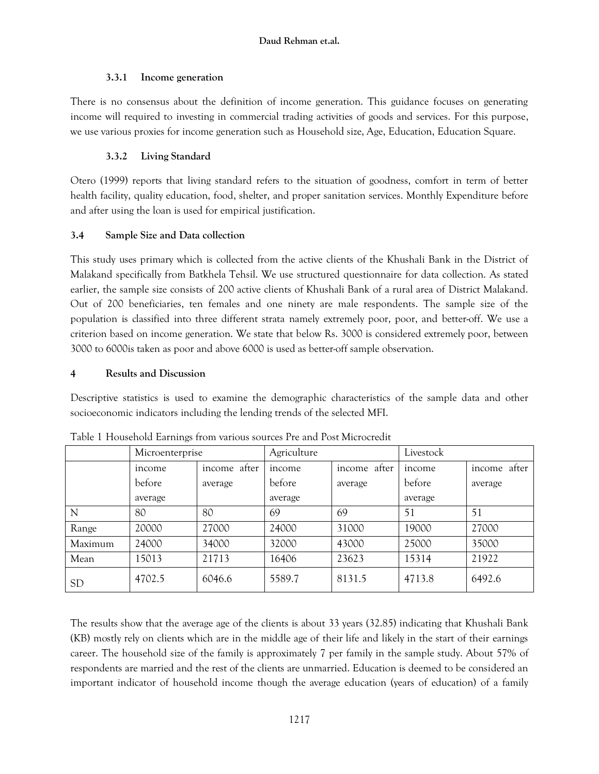## **3.3.1 Income generation**

There is no consensus about the definition of income generation. This guidance focuses on generating income will required to investing in commercial trading activities of goods and services. For this purpose, we use various proxies for income generation such as Household size, Age, Education, Education Square.

# **3.3.2 Living Standard**

Otero (1999) reports that living standard refers to the situation of goodness, comfort in term of better health facility, quality education, food, shelter, and proper sanitation services. Monthly Expenditure before and after using the loan is used for empirical justification.

# **3.4 Sample Size and Data collection**

This study uses primary which is collected from the active clients of the Khushali Bank in the District of Malakand specifically from Batkhela Tehsil. We use structured questionnaire for data collection. As stated earlier, the sample size consists of 200 active clients of Khushali Bank of a rural area of District Malakand. Out of 200 beneficiaries, ten females and one ninety are male respondents. The sample size of the population is classified into three different strata namely extremely poor, poor, and better-off. We use a criterion based on income generation. We state that below Rs. 3000 is considered extremely poor, between 3000 to 6000is taken as poor and above 6000 is used as better-off sample observation.

## **4 Results and Discussion**

Descriptive statistics is used to examine the demographic characteristics of the sample data and other socioeconomic indicators including the lending trends of the selected MFI.

|           | Microenterprise |              | Agriculture |              | Livestock |              |
|-----------|-----------------|--------------|-------------|--------------|-----------|--------------|
|           | income          | income after | income      | income after | income    | income after |
|           | before          | average      | before      | average      | before    | average      |
|           | average         |              | average     |              | average   |              |
| N         | 80              | 80           | 69          | 69           | 51        | 51           |
| Range     | 20000           | 27000        | 24000       | 31000        | 19000     | 27000        |
| Maximum   | 24000           | 34000        | 32000       | 43000        | 25000     | 35000        |
| Mean      | 15013           | 21713        | 16406       | 23623        | 15314     | 21922        |
| <b>SD</b> | 4702.5          | 6046.6       | 5589.7      | 8131.5       | 4713.8    | 6492.6       |

Table 1 Household Earnings from various sources Pre and Post Microcredit

The results show that the average age of the clients is about 33 years (32.85) indicating that Khushali Bank (KB) mostly rely on clients which are in the middle age of their life and likely in the start of their earnings career. The household size of the family is approximately 7 per family in the sample study. About 57% of respondents are married and the rest of the clients are unmarried. Education is deemed to be considered an important indicator of household income though the average education (years of education) of a family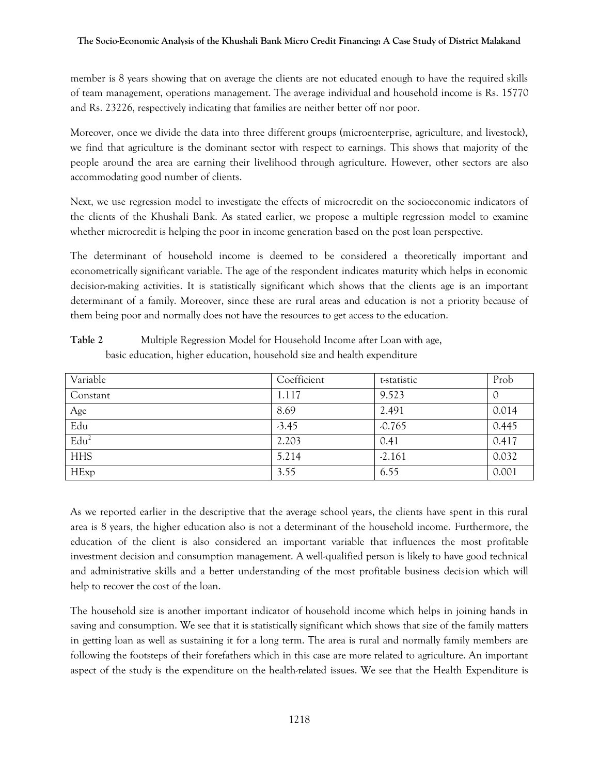#### **The Socio-Economic Analysis of the Khushali Bank Micro Credit Financing: A Case Study of District Malakand**

member is 8 years showing that on average the clients are not educated enough to have the required skills of team management, operations management. The average individual and household income is Rs. 15770 and Rs. 23226, respectively indicating that families are neither better off nor poor.

Moreover, once we divide the data into three different groups (microenterprise, agriculture, and livestock), we find that agriculture is the dominant sector with respect to earnings. This shows that majority of the people around the area are earning their livelihood through agriculture. However, other sectors are also accommodating good number of clients.

Next, we use regression model to investigate the effects of microcredit on the socioeconomic indicators of the clients of the Khushali Bank. As stated earlier, we propose a multiple regression model to examine whether microcredit is helping the poor in income generation based on the post loan perspective.

The determinant of household income is deemed to be considered a theoretically important and econometrically significant variable. The age of the respondent indicates maturity which helps in economic decision-making activities. It is statistically significant which shows that the clients age is an important determinant of a family. Moreover, since these are rural areas and education is not a priority because of them being poor and normally does not have the resources to get access to the education.

| Variable   | Coefficient | t-statistic | Prob  |
|------------|-------------|-------------|-------|
| Constant   | 1.117       | 9.523       |       |
| Age        | 8.69        | 2.491       | 0.014 |
| Edu        | $-3.45$     | $-0.765$    | 0.445 |
| $Edu^2$    | 2.203       | 0.41        | 0.417 |
| <b>HHS</b> | 5.214       | $-2.161$    | 0.032 |
| HExp       | 3.55        | 6.55        | 0.001 |

**Table 2** Multiple Regression Model for Household Income after Loan with age, basic education, higher education, household size and health expenditure

As we reported earlier in the descriptive that the average school years, the clients have spent in this rural area is 8 years, the higher education also is not a determinant of the household income. Furthermore, the education of the client is also considered an important variable that influences the most profitable investment decision and consumption management. A well-qualified person is likely to have good technical and administrative skills and a better understanding of the most profitable business decision which will help to recover the cost of the loan.

The household size is another important indicator of household income which helps in joining hands in saving and consumption. We see that it is statistically significant which shows that size of the family matters in getting loan as well as sustaining it for a long term. The area is rural and normally family members are following the footsteps of their forefathers which in this case are more related to agriculture. An important aspect of the study is the expenditure on the health-related issues. We see that the Health Expenditure is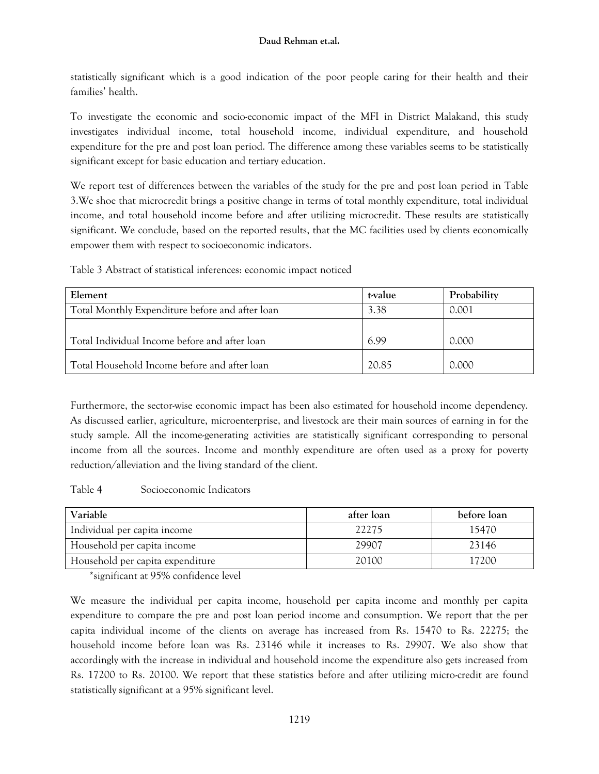statistically significant which is a good indication of the poor people caring for their health and their families' health.

To investigate the economic and socio-economic impact of the MFI in District Malakand, this study investigates individual income, total household income, individual expenditure, and household expenditure for the pre and post loan period. The difference among these variables seems to be statistically significant except for basic education and tertiary education.

We report test of differences between the variables of the study for the pre and post loan period in Table 3.We shoe that microcredit brings a positive change in terms of total monthly expenditure, total individual income, and total household income before and after utilizing microcredit. These results are statistically significant. We conclude, based on the reported results, that the MC facilities used by clients economically empower them with respect to socioeconomic indicators.

Table 3 Abstract of statistical inferences: economic impact noticed

| Element                                         | t-value | Probability |
|-------------------------------------------------|---------|-------------|
| Total Monthly Expenditure before and after loan | 3.38    | 0.001       |
| Total Individual Income before and after loan   | 6.99    | 0.000       |
| Total Household Income before and after loan    | 20.85   | 0.000       |

Furthermore, the sector-wise economic impact has been also estimated for household income dependency. As discussed earlier, agriculture, microenterprise, and livestock are their main sources of earning in for the study sample. All the income-generating activities are statistically significant corresponding to personal income from all the sources. Income and monthly expenditure are often used as a proxy for poverty reduction/alleviation and the living standard of the client.

Table 4 Socioeconomic Indicators

| Variable                         | after loan | before loan |
|----------------------------------|------------|-------------|
| Individual per capita income     | 22275      | 15470       |
| Household per capita income      | 29907      | 23146       |
| Household per capita expenditure | 20100      | 17200       |

\*significant at 95% confidence level

We measure the individual per capita income, household per capita income and monthly per capita expenditure to compare the pre and post loan period income and consumption. We report that the per capita individual income of the clients on average has increased from Rs. 15470 to Rs. 22275; the household income before loan was Rs. 23146 while it increases to Rs. 29907. We also show that accordingly with the increase in individual and household income the expenditure also gets increased from Rs. 17200 to Rs. 20100. We report that these statistics before and after utilizing micro-credit are found statistically significant at a 95% significant level.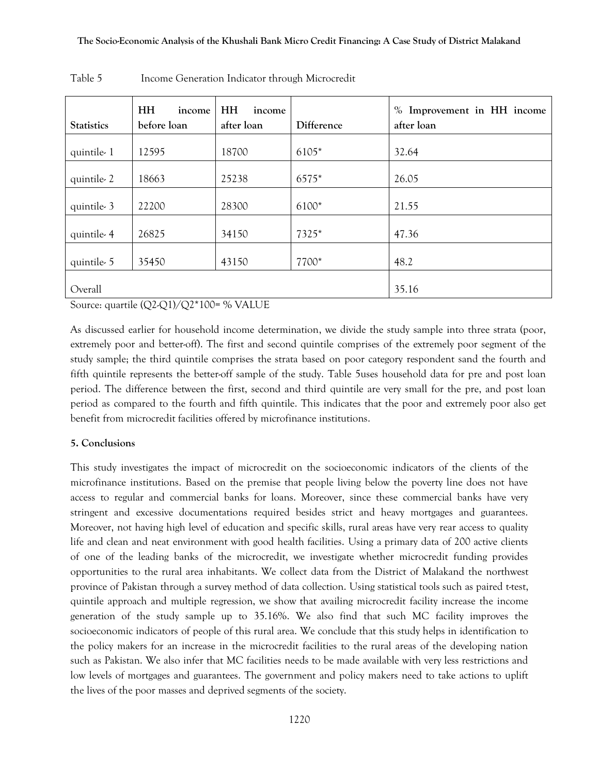| <b>Statistics</b> | <b>HH</b><br>income<br>before loan | HH<br>income<br>after loan | Difference | Improvement in HH income<br>$\%$<br>after loan |
|-------------------|------------------------------------|----------------------------|------------|------------------------------------------------|
|                   |                                    |                            |            |                                                |
| quintile-1        | 12595                              | 18700                      | 6105*      | 32.64                                          |
| quintile-2        | 18663                              | 25238                      | 6575*      | 26.05                                          |
| quintile-3        | 22200                              | 28300                      | 6100*      | 21.55                                          |
| quintile-4        | 26825                              | 34150                      | 7325*      | 47.36                                          |
| quintile-5        | 35450                              | 43150                      | 7700*      | 48.2                                           |
| Overall           |                                    |                            |            | 35.16                                          |

Table 5 Income Generation Indicator through Microcredit

Source: quartile (Q2-Q1)/Q2\*100= % VALUE

As discussed earlier for household income determination, we divide the study sample into three strata (poor, extremely poor and better-off). The first and second quintile comprises of the extremely poor segment of the study sample; the third quintile comprises the strata based on poor category respondent sand the fourth and fifth quintile represents the better-off sample of the study. Table 5uses household data for pre and post loan period. The difference between the first, second and third quintile are very small for the pre, and post loan period as compared to the fourth and fifth quintile. This indicates that the poor and extremely poor also get benefit from microcredit facilities offered by microfinance institutions.

## **5. Conclusions**

This study investigates the impact of microcredit on the socioeconomic indicators of the clients of the microfinance institutions. Based on the premise that people living below the poverty line does not have access to regular and commercial banks for loans. Moreover, since these commercial banks have very stringent and excessive documentations required besides strict and heavy mortgages and guarantees. Moreover, not having high level of education and specific skills, rural areas have very rear access to quality life and clean and neat environment with good health facilities. Using a primary data of 200 active clients of one of the leading banks of the microcredit, we investigate whether microcredit funding provides opportunities to the rural area inhabitants. We collect data from the District of Malakand the northwest province of Pakistan through a survey method of data collection. Using statistical tools such as paired t-test, quintile approach and multiple regression, we show that availing microcredit facility increase the income generation of the study sample up to 35.16%. We also find that such MC facility improves the socioeconomic indicators of people of this rural area. We conclude that this study helps in identification to the policy makers for an increase in the microcredit facilities to the rural areas of the developing nation such as Pakistan. We also infer that MC facilities needs to be made available with very less restrictions and low levels of mortgages and guarantees. The government and policy makers need to take actions to uplift the lives of the poor masses and deprived segments of the society.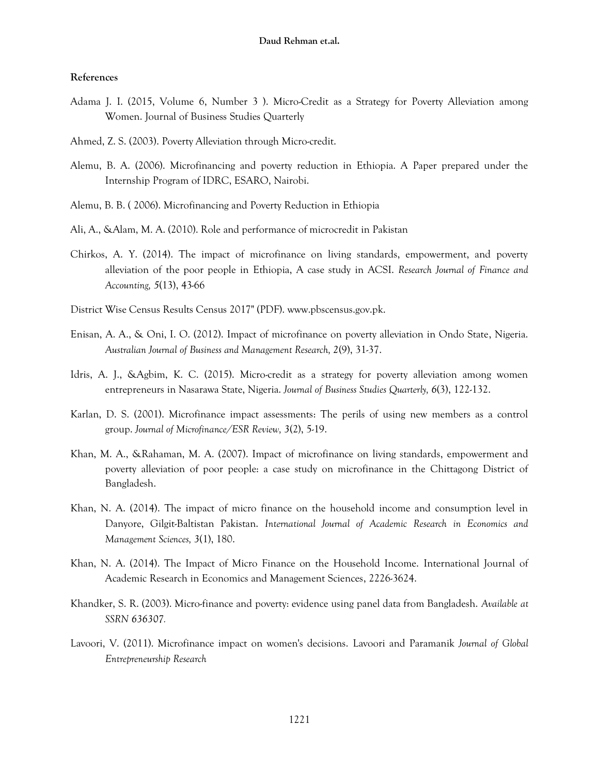#### **References**

- Adama J. I. (2015, Volume 6, Number 3 ). Micro-Credit as a Strategy for Poverty Alleviation among Women. Journal of Business Studies Quarterly
- Ahmed, Z. S. (2003). Poverty Alleviation through Micro-credit.
- Alemu, B. A. (2006). Microfinancing and poverty reduction in Ethiopia. A Paper prepared under the Internship Program of IDRC, ESARO, Nairobi.
- Alemu, B. B. ( 2006). Microfinancing and Poverty Reduction in Ethiopia
- Ali, A., &Alam, M. A. (2010). Role and performance of microcredit in Pakistan
- Chirkos, A. Y. (2014). The impact of microfinance on living standards, empowerment, and poverty alleviation of the poor people in Ethiopia, A case study in ACSI. *Research Journal of Finance and Accounting, 5*(13), 43-66
- District Wise Census Results Census 2017" (PDF). www.pbscensus.gov.pk.
- Enisan, A. A., & Oni, I. O. (2012). Impact of microfinance on poverty alleviation in Ondo State, Nigeria. *Australian Journal of Business and Management Research, 2*(9), 31-37.
- Idris, A. J., &Agbim, K. C. (2015). Micro-credit as a strategy for poverty alleviation among women entrepreneurs in Nasarawa State, Nigeria. *Journal of Business Studies Quarterly, 6*(3), 122-132.
- Karlan, D. S. (2001). Microfinance impact assessments: The perils of using new members as a control group. *Journal of Microfinance/ESR Review, 3*(2), 5-19.
- Khan, M. A., &Rahaman, M. A. (2007). Impact of microfinance on living standards, empowerment and poverty alleviation of poor people: a case study on microfinance in the Chittagong District of Bangladesh.
- Khan, N. A. (2014). The impact of micro finance on the household income and consumption level in Danyore, Gilgit-Baltistan Pakistan. *International Journal of Academic Research in Economics and Management Sciences, 3*(1), 180.
- Khan, N. A. (2014). The Impact of Micro Finance on the Household Income. International Journal of Academic Research in Economics and Management Sciences, 2226-3624.
- Khandker, S. R. (2003). Micro-finance and poverty: evidence using panel data from Bangladesh. *Available at SSRN 636307.*
- Lavoori, V. (2011). Microfinance impact on women's decisions. Lavoori and Paramanik *Journal of Global Entrepreneurship Research*